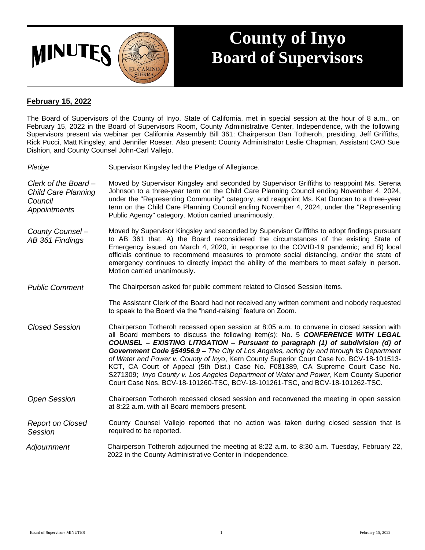

## **County of Inyo Board of Supervisors**

## **February 15, 2022**

The Board of Supervisors of the County of Inyo, State of California, met in special session at the hour of 8 a.m., on February 15, 2022 in the Board of Supervisors Room, County Administrative Center, Independence, with the following Supervisors present via webinar per California Assembly Bill 361: Chairperson Dan Totheroh, presiding, Jeff Griffiths, Rick Pucci, Matt Kingsley, and Jennifer Roeser. Also present: County Administrator Leslie Chapman, Assistant CAO Sue Dishion, and County Counsel John-Carl Vallejo.

| Pledge                                                                       | Supervisor Kingsley led the Pledge of Allegiance.                                                                                                                                                                                                                                                                                                                                                                                                                                                                                                                                                                                                                                                                     |
|------------------------------------------------------------------------------|-----------------------------------------------------------------------------------------------------------------------------------------------------------------------------------------------------------------------------------------------------------------------------------------------------------------------------------------------------------------------------------------------------------------------------------------------------------------------------------------------------------------------------------------------------------------------------------------------------------------------------------------------------------------------------------------------------------------------|
| Clerk of the Board-<br><b>Child Care Planning</b><br>Council<br>Appointments | Moved by Supervisor Kingsley and seconded by Supervisor Griffiths to reappoint Ms. Serena<br>Johnson to a three-year term on the Child Care Planning Council ending November 4, 2024,<br>under the "Representing Community" category; and reappoint Ms. Kat Duncan to a three-year<br>term on the Child Care Planning Council ending November 4, 2024, under the "Representing<br>Public Agency" category. Motion carried unanimously.                                                                                                                                                                                                                                                                                |
| County Counsel -<br>AB 361 Findings                                          | Moved by Supervisor Kingsley and seconded by Supervisor Griffiths to adopt findings pursuant<br>to AB 361 that: A) the Board reconsidered the circumstances of the existing State of<br>Emergency issued on March 4, 2020, in response to the COVID-19 pandemic; and B) local<br>officials continue to recommend measures to promote social distancing, and/or the state of<br>emergency continues to directly impact the ability of the members to meet safely in person.<br>Motion carried unanimously.                                                                                                                                                                                                             |
| <b>Public Comment</b>                                                        | The Chairperson asked for public comment related to Closed Session items.                                                                                                                                                                                                                                                                                                                                                                                                                                                                                                                                                                                                                                             |
|                                                                              | The Assistant Clerk of the Board had not received any written comment and nobody requested<br>to speak to the Board via the "hand-raising" feature on Zoom.                                                                                                                                                                                                                                                                                                                                                                                                                                                                                                                                                           |
| <b>Closed Session</b>                                                        | Chairperson Totheroh recessed open session at 8:05 a.m. to convene in closed session with<br>all Board members to discuss the following item(s): No. 5 CONFERENCE WITH LEGAL<br>COUNSEL - EXISTING LITIGATION - Pursuant to paragraph (1) of subdivision (d) of<br>Government Code §54956.9 - The City of Los Angeles, acting by and through its Department<br>of Water and Power v. County of Inyo, Kern County Superior Court Case No. BCV-18-101513-<br>KCT, CA Court of Appeal (5th Dist.) Case No. F081389, CA Supreme Court Case No.<br>S271309; Inyo County v. Los Angeles Department of Water and Power, Kern County Superior<br>Court Case Nos. BCV-18-101260-TSC, BCV-18-101261-TSC, and BCV-18-101262-TSC. |
| <b>Open Session</b>                                                          | Chairperson Totheroh recessed closed session and reconvened the meeting in open session<br>at 8:22 a.m. with all Board members present.                                                                                                                                                                                                                                                                                                                                                                                                                                                                                                                                                                               |
| <b>Report on Closed</b><br>Session                                           | County Counsel Vallejo reported that no action was taken during closed session that is<br>required to be reported.                                                                                                                                                                                                                                                                                                                                                                                                                                                                                                                                                                                                    |
| Adjournment                                                                  | Chairperson Totheroh adjourned the meeting at 8:22 a.m. to 8:30 a.m. Tuesday, February 22,<br>2022 in the County Administrative Center in Independence.                                                                                                                                                                                                                                                                                                                                                                                                                                                                                                                                                               |